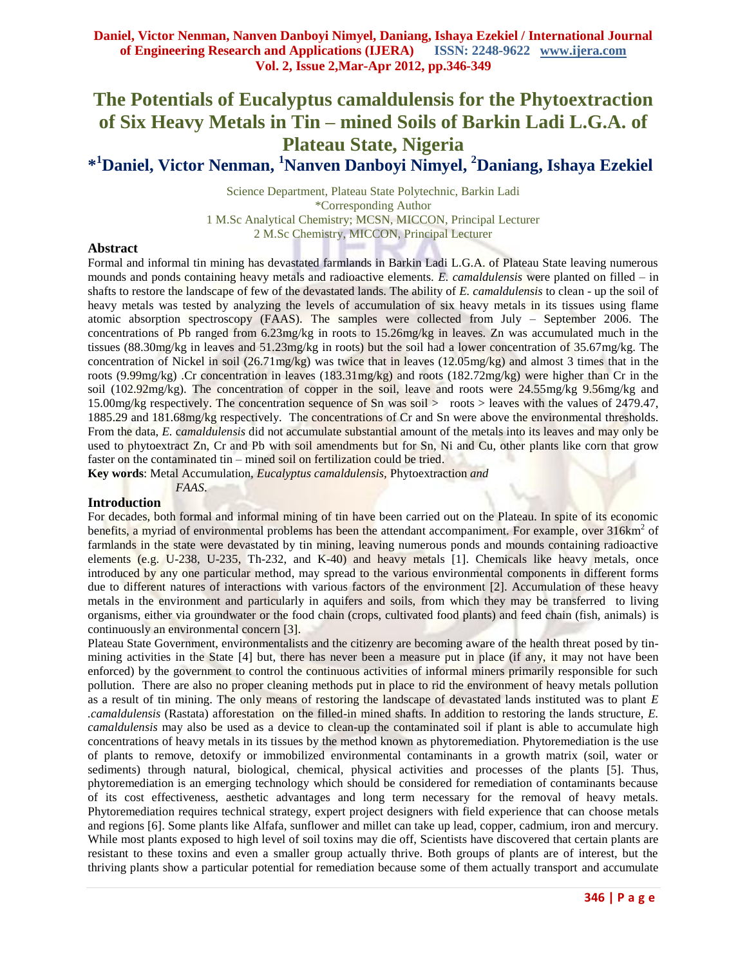# **The Potentials of Eucalyptus camaldulensis for the Phytoextraction of Six Heavy Metals in Tin – mined Soils of Barkin Ladi L.G.A. of Plateau State, Nigeria \* <sup>1</sup>Daniel, Victor Nenman, <sup>1</sup>Nanven Danboyi Nimyel, <sup>2</sup>Daniang, Ishaya Ezekiel**

Science Department, Plateau State Polytechnic, Barkin Ladi \*Corresponding Author 1 M.Sc Analytical Chemistry; MCSN, MICCON, Principal Lecturer 2 M.Sc Chemistry, MICCON, Principal Lecturer

## **Abstract**

Formal and informal tin mining has devastated farmlands in Barkin Ladi L.G.A. of Plateau State leaving numerous mounds and ponds containing heavy metals and radioactive elements. *E. camaldulensis* were planted on filled – in shafts to restore the landscape of few of the devastated lands. The ability of *E. camaldulensis* to clean - up the soil of heavy metals was tested by analyzing the levels of accumulation of six heavy metals in its tissues using flame atomic absorption spectroscopy (FAAS). The samples were collected from July – September 2006. The concentrations of Pb ranged from 6.23mg/kg in roots to 15.26mg/kg in leaves. Zn was accumulated much in the tissues (88.30mg/kg in leaves and 51.23mg/kg in roots) but the soil had a lower concentration of 35.67mg/kg. The concentration of Nickel in soil  $(26.71 \text{mg/kg})$  was twice that in leaves  $(12.05 \text{mg/kg})$  and almost 3 times that in the roots (9.99mg/kg) .Cr concentration in leaves (183.31mg/kg) and roots (182.72mg/kg) were higher than Cr in the soil (102.92mg/kg). The concentration of copper in the soil, leave and roots were 24.55mg/kg 9.56mg/kg and 15.00mg/kg respectively. The concentration sequence of Sn was soil > roots > leaves with the values of 2479.47, 1885.29 and 181.68mg/kg respectively. The concentrations of Cr and Sn were above the environmental thresholds. From the data, *E.* c*amaldulensis* did not accumulate substantial amount of the metals into its leaves and may only be used to phytoextract Zn, Cr and Pb with soil amendments but for Sn, Ni and Cu, other plants like corn that grow faster on the contaminated tin – mined soil on fertilization could be tried.

**Key words**: Metal Accumulation, *Eucalyptus camaldulensis,* Phytoextraction *and* 

*FAAS*.

## **Introduction**

For decades, both formal and informal mining of tin have been carried out on the Plateau. In spite of its economic benefits, a myriad of environmental problems has been the attendant accompaniment. For example, over 316km<sup>2</sup> of farmlands in the state were devastated by tin mining, leaving numerous ponds and mounds containing radioactive elements (e.g. U-238, U-235, Th-232, and K-40) and heavy metals [1]. Chemicals like heavy metals, once introduced by any one particular method, may spread to the various environmental components in different forms due to different natures of interactions with various factors of the environment [2]. Accumulation of these heavy metals in the environment and particularly in aquifers and soils, from which they may be transferred to living organisms, either via groundwater or the food chain (crops, cultivated food plants) and feed chain (fish, animals) is continuously an environmental concern [3].

Plateau State Government, environmentalists and the citizenry are becoming aware of the health threat posed by tinmining activities in the State [4] but, there has never been a measure put in place (if any, it may not have been enforced) by the government to control the continuous activities of informal miners primarily responsible for such pollution. There are also no proper cleaning methods put in place to rid the environment of heavy metals pollution as a result of tin mining. The only means of restoring the landscape of devastated lands instituted was to plant *E .camaldulensis* (Rastata) afforestation on the filled-in mined shafts. In addition to restoring the lands structure, *E. camaldulensis* may also be used as a device to clean-up the contaminated soil if plant is able to accumulate high concentrations of heavy metals in its tissues by the method known as phytoremediation. Phytoremediation is the use of plants to remove, detoxify or immobilized environmental contaminants in a growth matrix (soil, water or sediments) through natural, biological, chemical, physical activities and processes of the plants [5]. Thus, phytoremediation is an emerging technology which should be considered for remediation of contaminants because of its cost effectiveness, aesthetic advantages and long term necessary for the removal of heavy metals. Phytoremediation requires technical strategy, expert project designers with field experience that can choose metals and regions [6]. Some plants like Alfafa, sunflower and millet can take up lead, copper, cadmium, iron and mercury. While most plants exposed to high level of soil toxins may die off, Scientists have discovered that certain plants are resistant to these toxins and even a smaller group actually thrive. Both groups of plants are of interest, but the thriving plants show a particular potential for remediation because some of them actually transport and accumulate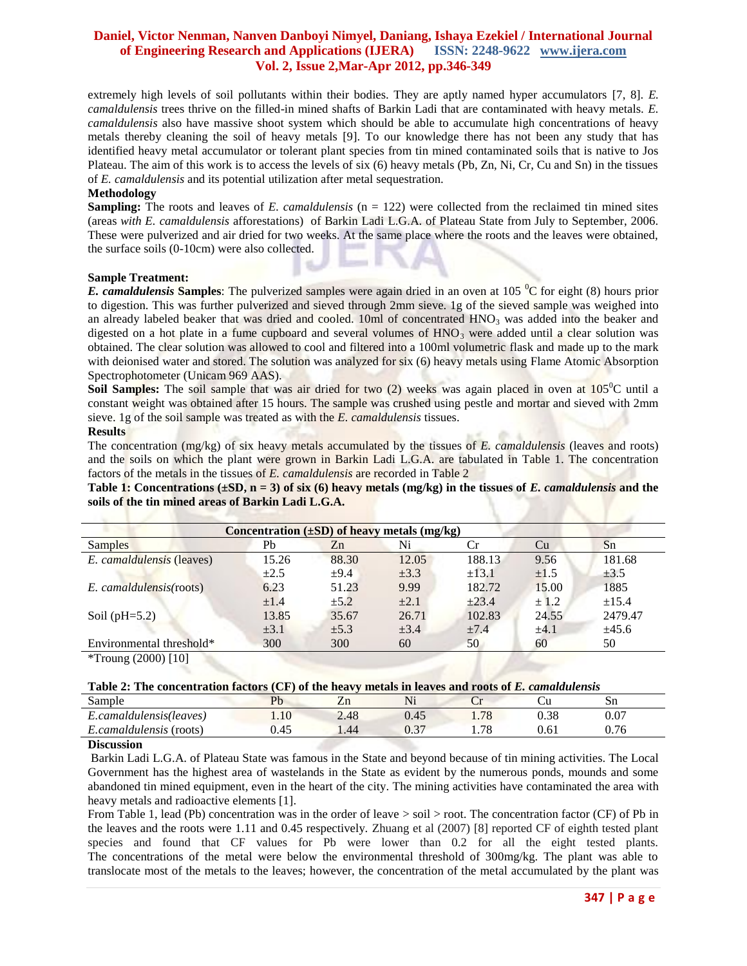# **Daniel, Victor Nenman, Nanven Danboyi Nimyel, Daniang, Ishaya Ezekiel / International Journal of Engineering Research and Applications (IJERA) ISSN: 2248-9622 www.ijera.com Vol. 2, Issue 2,Mar-Apr 2012, pp.346-349**

extremely high levels of soil pollutants within their bodies. They are aptly named hyper accumulators [7, 8]. *E. camaldulensis* trees thrive on the filled-in mined shafts of Barkin Ladi that are contaminated with heavy metals. *E. camaldulensis* also have massive shoot system which should be able to accumulate high concentrations of heavy metals thereby cleaning the soil of heavy metals [9]. To our knowledge there has not been any study that has identified heavy metal accumulator or tolerant plant species from tin mined contaminated soils that is native to Jos Plateau. The aim of this work is to access the levels of six (6) heavy metals (Pb, Zn, Ni, Cr, Cu and Sn) in the tissues of *E. camaldulensis* and its potential utilization after metal sequestration.

## **Methodology**

**Sampling:** The roots and leaves of *E. camaldulensis* (n = 122) were collected from the reclaimed tin mined sites (areas *with E. camaldulensis* afforestations) of Barkin Ladi L.G.A. of Plateau State from July to September, 2006. These were pulverized and air dried for two weeks. At the same place where the roots and the leaves were obtained, the surface soils (0-10cm) were also collected.

## **Sample Treatment:**

*E. camaldulensis* **Samples**: The pulverized samples were again dried in an oven at 105 <sup>o</sup>C for eight (8) hours prior to digestion. This was further pulverized and sieved through 2mm sieve. 1g of the sieved sample was weighed into an already labeled beaker that was dried and cooled. 10ml of concentrated  $HNO<sub>3</sub>$  was added into the beaker and digested on a hot plate in a fume cupboard and several volumes of  $HNO<sub>3</sub>$  were added until a clear solution was obtained. The clear solution was allowed to cool and filtered into a 100ml volumetric flask and made up to the mark with deionised water and stored. The solution was analyzed for six (6) heavy metals using Flame Atomic Absorption Spectrophotometer (Unicam 969 AAS).

**Soil Samples:** The soil sample that was air dried for two (2) weeks was again placed in oven at 105<sup>o</sup>C until a constant weight was obtained after 15 hours. The sample was crushed using pestle and mortar and sieved with 2mm sieve. 1g of the soil sample was treated as with the *E. camaldulensis* tissues.

#### **Results**

The concentration (mg/kg) of six heavy metals accumulated by the tissues of *E. camaldulensis* (leaves and roots) and the soils on which the plant were grown in Barkin Ladi L.G.A. are tabulated in Table 1. The concentration factors of the metals in the tissues of *E. camaldulensis* are recorded in Table 2

**Table 1:** Concentrations  $(\pm SD, n = 3)$  of six (6) heavy metals (mg/kg) in the tissues of *E. camaldulensis* and the **soils of the tin mined areas of Barkin Ladi L.G.A.** 

| Concentration $(\pm SD)$ of heavy metals (mg/kg) |           |           |           |            |           |            |  |  |  |  |  |
|--------------------------------------------------|-----------|-----------|-----------|------------|-----------|------------|--|--|--|--|--|
| <b>Samples</b>                                   | Pb        | Zn        | Ni        | Cr         | Cu        | Sn         |  |  |  |  |  |
| <i>E. camaldulensis</i> (leaves)                 | 15.26     | 88.30     | 12.05     | 188.13     | 9.56      | 181.68     |  |  |  |  |  |
|                                                  | $\pm 2.5$ | ±9.4      | $\pm 3.3$ | $\pm 13.1$ | $\pm 1.5$ | $\pm 3.5$  |  |  |  |  |  |
| E. camaldulensis(roots)                          | 6.23      | 51.23     | 9.99      | 182.72     | 15.00     | 1885       |  |  |  |  |  |
|                                                  | $\pm 1.4$ | $\pm 5.2$ | $\pm 2.1$ | $\pm 23.4$ | ± 1.2     | $\pm 15.4$ |  |  |  |  |  |
| Soil ( $pH=5.2$ )                                | 13.85     | 35.67     | 26.71     | 102.83     | 24.55     | 2479.47    |  |  |  |  |  |
|                                                  | $\pm 3.1$ | $\pm 5.3$ | $\pm 3.4$ | $\pm 7.4$  | $\pm 4.1$ | ±45.6      |  |  |  |  |  |
| Environmental threshold*                         | 300       | 300       | 60        | 50         | 60        | 50         |  |  |  |  |  |
| *Troung $(2000)$ [10]                            |           |           |           |            |           |            |  |  |  |  |  |

| Sample                    | $\mathbf{p}_b$     |      | Ni              | ີ    |           | Sn   |  |
|---------------------------|--------------------|------|-----------------|------|-----------|------|--|
| .camaldulensis(leaves)    | .10                | 2.48 | 0.45            | 1.78 | $_{0.38}$ | 0.07 |  |
| (roots)<br>.camaldulensis | $\sqrt{5}$<br>U.4J | 1.44 | $\Omega$<br>U.J | 1.78 | 0.61      | 0.76 |  |
| $\sim$<br>$\sim$          |                    |      |                 |      |           |      |  |

#### **Discussion**

Barkin Ladi L.G.A. of Plateau State was famous in the State and beyond because of tin mining activities. The Local Government has the highest area of wastelands in the State as evident by the numerous ponds, mounds and some abandoned tin mined equipment, even in the heart of the city. The mining activities have contaminated the area with heavy metals and radioactive elements [1].

From Table 1, lead (Pb) concentration was in the order of leave  $>$  soil  $>$  root. The concentration factor (CF) of Pb in the leaves and the roots were 1.11 and 0.45 respectively. Zhuang et al (2007) [8] reported CF of eighth tested plant species and found that CF values for Pb were lower than 0.2 for all the eight tested plants. The concentrations of the metal were below the environmental threshold of 300mg/kg. The plant was able to translocate most of the metals to the leaves; however, the concentration of the metal accumulated by the plant was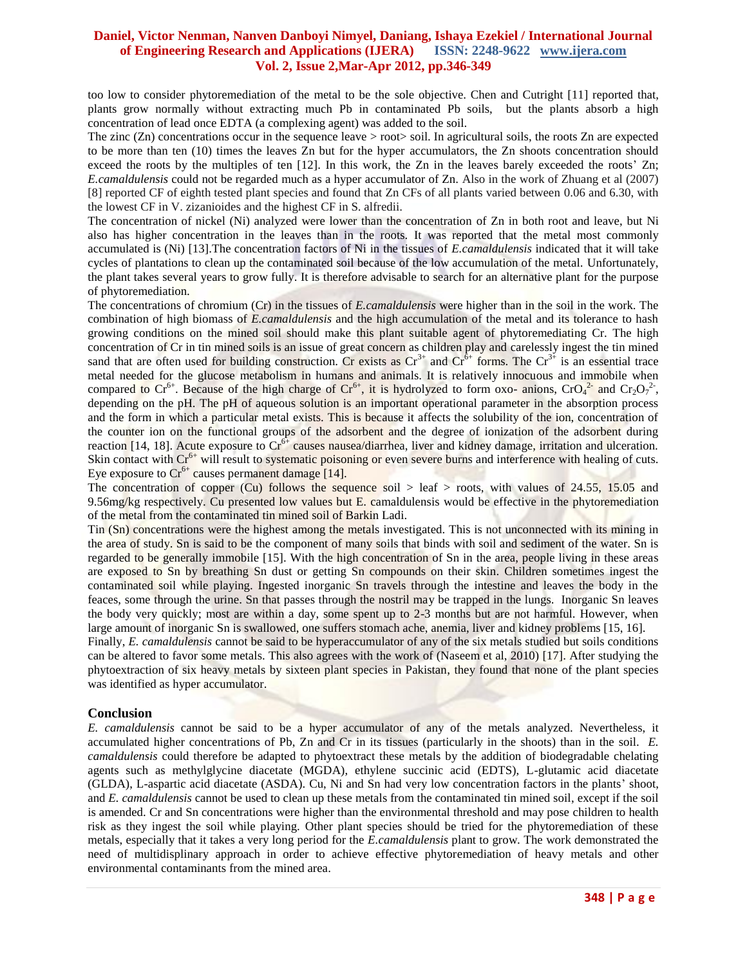# **Daniel, Victor Nenman, Nanven Danboyi Nimyel, Daniang, Ishaya Ezekiel / International Journal of Engineering Research and Applications (IJERA) ISSN: 2248-9622 www.ijera.com Vol. 2, Issue 2,Mar-Apr 2012, pp.346-349**

too low to consider phytoremediation of the metal to be the sole objective. Chen and Cutright [11] reported that, plants grow normally without extracting much Pb in contaminated Pb soils, but the plants absorb a high concentration of lead once EDTA (a complexing agent) was added to the soil.

The zinc  $(Zn)$  concentrations occur in the sequence leave > root soil. In agricultural soils, the roots  $Zn$  are expected to be more than ten (10) times the leaves Zn but for the hyper accumulators, the Zn shoots concentration should exceed the roots by the multiples of ten [12]. In this work, the Zn in the leaves barely exceeded the roots' Zn; *E.camaldulensis* could not be regarded much as a hyper accumulator of Zn. Also in the work of Zhuang et al (2007) [8] reported CF of eighth tested plant species and found that Zn CFs of all plants varied between 0.06 and 6.30, with the lowest CF in V. zizanioides and the highest CF in S. alfredii.

The concentration of nickel (Ni) analyzed were lower than the concentration of Zn in both root and leave, but Ni also has higher concentration in the leaves than in the roots. It was reported that the metal most commonly accumulated is (Ni) [13].The concentration factors of Ni in the tissues of *E.camaldulensis* indicated that it will take cycles of plantations to clean up the contaminated soil because of the low accumulation of the metal. Unfortunately, the plant takes several years to grow fully. It is therefore advisable to search for an alternative plant for the purpose of phytoremediation.

The concentrations of chromium (Cr) in the tissues of *E.camaldulensis* were higher than in the soil in the work. The combination of high biomass of *E.camaldulensis* and the high accumulation of the metal and its tolerance to hash growing conditions on the mined soil should make this plant suitable agent of phytoremediating Cr. The high concentration of Cr in tin mined soils is an issue of great concern as children play and carelessly ingest the tin mined sand that are often used for building construction. Cr exists as  $Cr^{3+}$  and  $Cr^{6+}$  forms. The  $Cr^{3+}$  is an essential trace metal needed for the glucose metabolism in humans and animals. It is relatively innocuous and immobile when compared to Cr<sup>6+</sup>. Because of the high charge of Cr<sup>6+</sup>, it is hydrolyzed to form oxo- anions, CrO<sub>4</sub><sup>2-</sup> and Cr<sub>2</sub>O<sub>7</sub><sup>2</sup>-, depending on the pH. The pH of aqueous solution is an important operational parameter in the absorption process and the form in which a particular metal exists. This is because it affects the solubility of the ion, concentration of the counter ion on the functional groups of the adsorbent and the degree of ionization of the adsorbent during reaction [14, 18]. Acute exposure to  $Cr<sup>6+</sup>$  causes nausea/diarrhea, liver and kidney damage, irritation and ulceration. Skin contact with  $Cr<sup>6+</sup>$  will result to systematic poisoning or even severe burns and interference with healing of cuts. Eye exposure to  $Cr^{6+}$  causes permanent damage [14].

The concentration of copper (Cu) follows the sequence soil  $>$  leaf  $>$  roots, with values of 24.55, 15.05 and 9.56mg/kg respectively. Cu presented low values but E. camaldulensis would be effective in the phytoremediation of the metal from the contaminated tin mined soil of Barkin Ladi.

Tin (Sn) concentrations were the highest among the metals investigated. This is not unconnected with its mining in the area of study. Sn is said to be the component of many soils that binds with soil and sediment of the water. Sn is regarded to be generally immobile [15]. With the high concentration of Sn in the area, people living in these areas are exposed to Sn by breathing Sn dust or getting Sn compounds on their skin. Children sometimes ingest the contaminated soil while playing. Ingested inorganic Sn travels through the intestine and leaves the body in the feaces, some through the urine. Sn that passes through the nostril may be trapped in the lungs. Inorganic Sn leaves the body very quickly; most are within a day, some spent up to 2-3 months but are not harmful. However, when large amount of inorganic Sn is swallowed, one suffers stomach ache, anemia, liver and kidney problems [15, 16].

Finally, *E. camaldulensis* cannot be said to be hyperaccumulator of any of the six metals studied but soils conditions can be altered to favor some metals. This also agrees with the work of (Naseem et al, 2010) [17]. After studying the phytoextraction of six heavy metals by sixteen plant species in Pakistan, they found that none of the plant species was identified as hyper accumulator.

# **Conclusion**

*E. camaldulensis* cannot be said to be a hyper accumulator of any of the metals analyzed. Nevertheless, it accumulated higher concentrations of Pb, Zn and Cr in its tissues (particularly in the shoots) than in the soil. *E. camaldulensis* could therefore be adapted to phytoextract these metals by the addition of biodegradable chelating agents such as methylglycine diacetate (MGDA), ethylene succinic acid (EDTS), L-glutamic acid diacetate (GLDA), L-aspartic acid diacetate (ASDA). Cu, Ni and Sn had very low concentration factors in the plants' shoot, and *E. camaldulensis* cannot be used to clean up these metals from the contaminated tin mined soil, except if the soil is amended. Cr and Sn concentrations were higher than the environmental threshold and may pose children to health risk as they ingest the soil while playing. Other plant species should be tried for the phytoremediation of these metals, especially that it takes a very long period for the *E.camaldulensis* plant to grow. The work demonstrated the need of multidisplinary approach in order to achieve effective phytoremediation of heavy metals and other environmental contaminants from the mined area.